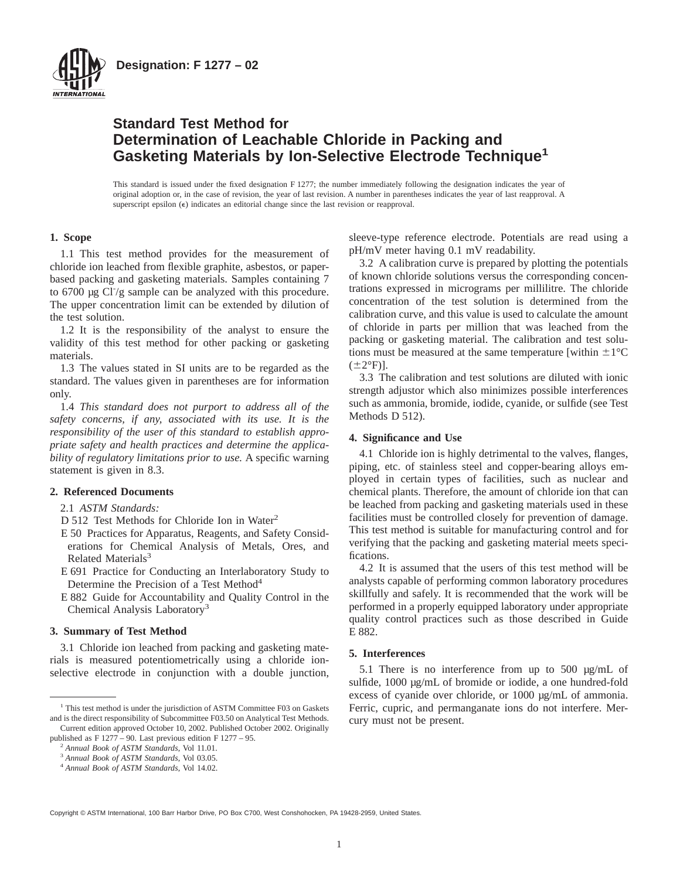

**Designation: F 1277 – 02**

# **Standard Test Method for Determination of Leachable Chloride in Packing and Gasketing Materials by Ion-Selective Electrode Technique<sup>1</sup>**

This standard is issued under the fixed designation F 1277; the number immediately following the designation indicates the year of original adoption or, in the case of revision, the year of last revision. A number in parentheses indicates the year of last reapproval. A superscript epsilon  $(\epsilon)$  indicates an editorial change since the last revision or reapproval.

# **1. Scope**

1.1 This test method provides for the measurement of chloride ion leached from flexible graphite, asbestos, or paperbased packing and gasketing materials. Samples containing 7 to  $6700 \mu$ g Cl $\frac{1}{2}$  sample can be analyzed with this procedure. The upper concentration limit can be extended by dilution of the test solution.

1.2 It is the responsibility of the analyst to ensure the validity of this test method for other packing or gasketing materials.

1.3 The values stated in SI units are to be regarded as the standard. The values given in parentheses are for information only.

1.4 *This standard does not purport to address all of the safety concerns, if any, associated with its use. It is the responsibility of the user of this standard to establish appropriate safety and health practices and determine the applicability of regulatory limitations prior to use.* A specific warning statement is given in 8.3.

# **2. Referenced Documents**

# 2.1 *ASTM Standards:*

- D 512 Test Methods for Chloride Ion in Water<sup>2</sup>
- E 50 Practices for Apparatus, Reagents, and Safety Considerations for Chemical Analysis of Metals, Ores, and Related Materials $3$
- E 691 Practice for Conducting an Interlaboratory Study to Determine the Precision of a Test Method<sup>4</sup>
- E 882 Guide for Accountability and Quality Control in the Chemical Analysis Laboratory3

# **3. Summary of Test Method**

3.1 Chloride ion leached from packing and gasketing materials is measured potentiometrically using a chloride ionselective electrode in conjunction with a double junction, sleeve-type reference electrode. Potentials are read using a pH/mV meter having 0.1 mV readability.

3.2 A calibration curve is prepared by plotting the potentials of known chloride solutions versus the corresponding concentrations expressed in micrograms per millilitre. The chloride concentration of the test solution is determined from the calibration curve, and this value is used to calculate the amount of chloride in parts per million that was leached from the packing or gasketing material. The calibration and test solutions must be measured at the same temperature [within  $\pm 1$ °C  $(\pm 2^{\circ}F)$ ].

3.3 The calibration and test solutions are diluted with ionic strength adjustor which also minimizes possible interferences such as ammonia, bromide, iodide, cyanide, or sulfide (see Test Methods D 512).

# **4. Significance and Use**

4.1 Chloride ion is highly detrimental to the valves, flanges, piping, etc. of stainless steel and copper-bearing alloys employed in certain types of facilities, such as nuclear and chemical plants. Therefore, the amount of chloride ion that can be leached from packing and gasketing materials used in these facilities must be controlled closely for prevention of damage. This test method is suitable for manufacturing control and for verifying that the packing and gasketing material meets specifications.

4.2 It is assumed that the users of this test method will be analysts capable of performing common laboratory procedures skillfully and safely. It is recommended that the work will be performed in a properly equipped laboratory under appropriate quality control practices such as those described in Guide E 882.

#### **5. Interferences**

5.1 There is no interference from up to 500 µg/mL of sulfide, 1000 µg/mL of bromide or iodide, a one hundred-fold excess of cyanide over chloride, or 1000 µg/mL of ammonia. Ferric, cupric, and permanganate ions do not interfere. Mercury must not be present.

Copyright © ASTM International, 100 Barr Harbor Drive, PO Box C700, West Conshohocken, PA 19428-2959, United States.

<sup>&</sup>lt;sup>1</sup> This test method is under the jurisdiction of ASTM Committee F03 on Gaskets and is the direct responsibility of Subcommittee F03.50 on Analytical Test Methods. Current edition approved October 10, 2002. Published October 2002. Originally

published as F 1277 – 90. Last previous edition F 1277 – 95.

<sup>2</sup> *Annual Book of ASTM Standards*, Vol 11.01.

<sup>3</sup> *Annual Book of ASTM Standards*, Vol 03.05.

<sup>4</sup> *Annual Book of ASTM Standards*, Vol 14.02.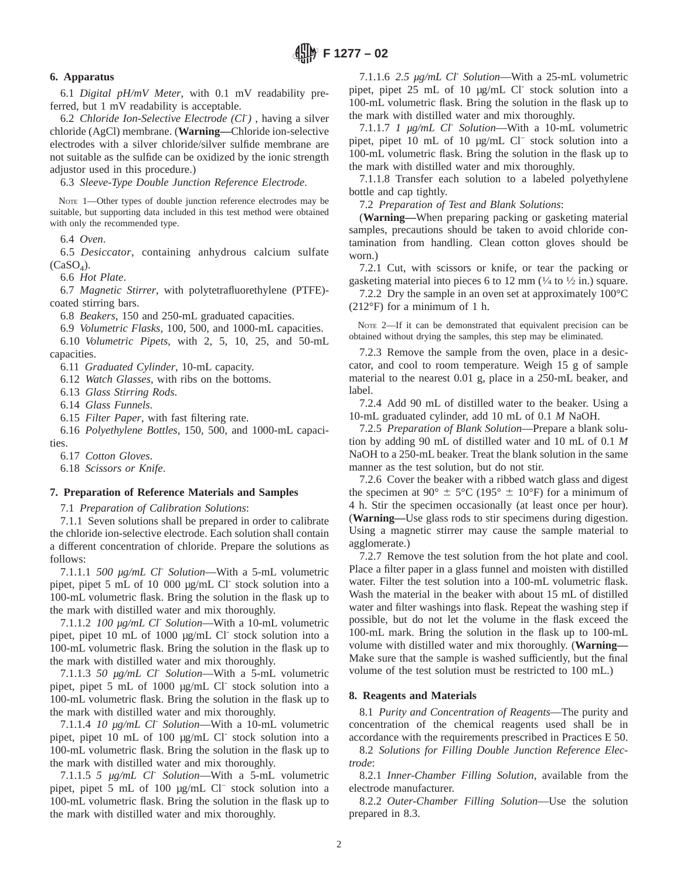# **6. Apparatus**

6.1 *Digital pH/mV Meter*, with 0.1 mV readability preferred, but 1 mV readability is acceptable.

6.2 *Chloride Ion-Selective Electrode (Cl*- *)* , having a silver chloride (AgCl) membrane. (**Warning—**Chloride ion-selective electrodes with a silver chloride/silver sulfide membrane are not suitable as the sulfide can be oxidized by the ionic strength adjustor used in this procedure.)

6.3 *Sleeve-Type Double Junction Reference Electrode*.

NOTE 1—Other types of double junction reference electrodes may be suitable, but supporting data included in this test method were obtained with only the recommended type.

6.4 *Oven*.

6.5 *Desiccator*, containing anhydrous calcium sulfate  $(CaSO<sub>4</sub>)$ .

6.6 *Hot Plate*.

6.7 *Magnetic Stirrer*, with polytetrafluorethylene (PTFE) coated stirring bars.

6.8 *Beakers*, 150 and 250-mL graduated capacities.

6.9 *Volumetric Flasks*, 100, 500, and 1000-mL capacities. 6.10 *Volumetric Pipets*, with 2, 5, 10, 25, and 50-mL

capacities.

6.11 *Graduated Cylinder*, 10-mL capacity.

6.12 *Watch Glasses*, with ribs on the bottoms.

6.13 *Glass Stirring Rods*.

6.14 *Glass Funnels*.

6.15 *Filter Paper*, with fast filtering rate.

6.16 *Polyethylene Bottles*, 150, 500, and 1000-mL capacities.

6.17 *Cotton Gloves*.

6.18 *Scissors or Knife*.

#### **7. Preparation of Reference Materials and Samples**

7.1 *Preparation of Calibration Solutions*:

7.1.1 Seven solutions shall be prepared in order to calibrate the chloride ion-selective electrode. Each solution shall contain a different concentration of chloride. Prepare the solutions as follows:

7.1.1.1 *500 µg/mL Cl*- *Solution*—With a 5-mL volumetric pipet, pipet 5 mL of 10 000 µg/mL Cl<sup>-</sup> stock solution into a 100-mL volumetric flask. Bring the solution in the flask up to the mark with distilled water and mix thoroughly.

7.1.1.2 *100 µg/mL Cl*- *Solution*—With a 10-mL volumetric pipet, pipet 10 mL of 1000 µg/mL Cl<sup>-</sup> stock solution into a 100-mL volumetric flask. Bring the solution in the flask up to the mark with distilled water and mix thoroughly.

7.1.1.3 *50 µg/mL Cl*- *Solution*—With a 5-mL volumetric pipet, pipet 5 mL of 1000 µg/mL Cl<sup>-</sup> stock solution into a 100-mL volumetric flask. Bring the solution in the flask up to the mark with distilled water and mix thoroughly.

7.1.1.4 *10 µg/mL Cl*- *Solution*—With a 10-mL volumetric pipet, pipet 10 mL of 100 µg/mL Cl<sup>-</sup> stock solution into a 100-mL volumetric flask. Bring the solution in the flask up to the mark with distilled water and mix thoroughly.

7.1.1.5 *5 µg/mL Cl*- *Solution*—With a 5-mL volumetric pipet, pipet 5 mL of 100 µg/mL Cl– stock solution into a 100-mL volumetric flask. Bring the solution in the flask up to the mark with distilled water and mix thoroughly.

7.1.1.6 *2.5 µg/mL Cl*- *Solution*—With a 25-mL volumetric pipet, pipet 25 mL of 10 µg/mL Cl<sup>-</sup> stock solution into a 100-mL volumetric flask. Bring the solution in the flask up to the mark with distilled water and mix thoroughly.

7.1.1.7 *1 µg/mL Cl*- *Solution*—With a 10-mL volumetric pipet, pipet 10 mL of 10 µg/mL Cl<sup>-</sup> stock solution into a 100-mL volumetric flask. Bring the solution in the flask up to the mark with distilled water and mix thoroughly.

7.1.1.8 Transfer each solution to a labeled polyethylene bottle and cap tightly.

7.2 *Preparation of Test and Blank Solutions*:

(**Warning—**When preparing packing or gasketing material samples, precautions should be taken to avoid chloride contamination from handling. Clean cotton gloves should be worn.)

7.2.1 Cut, with scissors or knife, or tear the packing or gasketing material into pieces 6 to 12 mm  $(\frac{1}{4}$  to  $\frac{1}{2}$  in.) square.

7.2.2 Dry the sample in an oven set at approximately 100°C (212°F) for a minimum of 1 h.

NOTE 2—If it can be demonstrated that equivalent precision can be obtained without drying the samples, this step may be eliminated.

7.2.3 Remove the sample from the oven, place in a desiccator, and cool to room temperature. Weigh 15 g of sample material to the nearest 0.01 g, place in a 250-mL beaker, and label.

7.2.4 Add 90 mL of distilled water to the beaker. Using a 10-mL graduated cylinder, add 10 mL of 0.1 *M* NaOH.

7.2.5 *Preparation of Blank Solution*—Prepare a blank solution by adding 90 mL of distilled water and 10 mL of 0.1 *M* NaOH to a 250-mL beaker. Treat the blank solution in the same manner as the test solution, but do not stir.

7.2.6 Cover the beaker with a ribbed watch glass and digest the specimen at 90°  $\pm$  5°C (195°  $\pm$  10°F) for a minimum of 4 h. Stir the specimen occasionally (at least once per hour). (**Warning—**Use glass rods to stir specimens during digestion. Using a magnetic stirrer may cause the sample material to agglomerate.)

7.2.7 Remove the test solution from the hot plate and cool. Place a filter paper in a glass funnel and moisten with distilled water. Filter the test solution into a 100-mL volumetric flask. Wash the material in the beaker with about 15 mL of distilled water and filter washings into flask. Repeat the washing step if possible, but do not let the volume in the flask exceed the 100-mL mark. Bring the solution in the flask up to 100-mL volume with distilled water and mix thoroughly. (**Warning—** Make sure that the sample is washed sufficiently, but the final volume of the test solution must be restricted to 100 mL.)

## **8. Reagents and Materials**

8.1 *Purity and Concentration of Reagents*—The purity and concentration of the chemical reagents used shall be in accordance with the requirements prescribed in Practices E 50.

8.2 *Solutions for Filling Double Junction Reference Electrode*:

8.2.1 *Inner-Chamber Filling Solution*, available from the electrode manufacturer.

8.2.2 *Outer-Chamber Filling Solution*—Use the solution prepared in 8.3.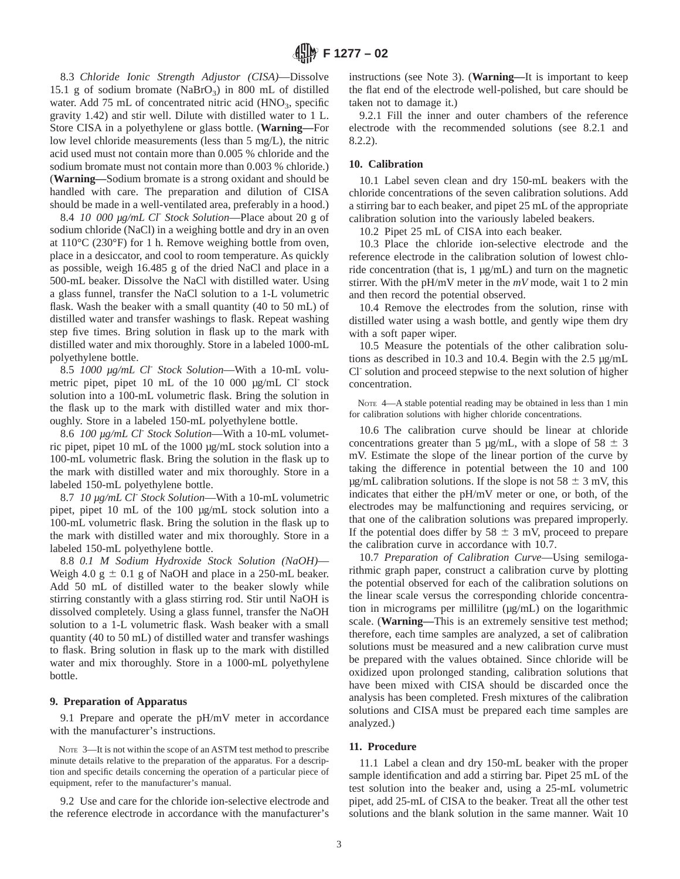8.3 *Chloride Ionic Strength Adjustor (CISA)*—Dissolve 15.1 g of sodium bromate (NaBrO<sub>3</sub>) in 800 mL of distilled water. Add 75 mL of concentrated nitric acid  $(HNO<sub>3</sub>,$  specific gravity 1.42) and stir well. Dilute with distilled water to 1 L. Store CISA in a polyethylene or glass bottle. (**Warning—**For low level chloride measurements (less than 5 mg/L), the nitric acid used must not contain more than 0.005 % chloride and the sodium bromate must not contain more than 0.003 % chloride.) (**Warning—**Sodium bromate is a strong oxidant and should be handled with care. The preparation and dilution of CISA should be made in a well-ventilated area, preferably in a hood.)

8.4 *10 000 µg/mL Cl*- *Stock Solution*—Place about 20 g of sodium chloride (NaCl) in a weighing bottle and dry in an oven at 110°C (230°F) for 1 h. Remove weighing bottle from oven, place in a desiccator, and cool to room temperature. As quickly as possible, weigh 16.485 g of the dried NaCl and place in a 500-mL beaker. Dissolve the NaCl with distilled water. Using a glass funnel, transfer the NaCl solution to a 1-L volumetric flask. Wash the beaker with a small quantity (40 to 50 mL) of distilled water and transfer washings to flask. Repeat washing step five times. Bring solution in flask up to the mark with distilled water and mix thoroughly. Store in a labeled 1000-mL polyethylene bottle.

8.5 *1000 µg/mL Cl*- *Stock Solution*—With a 10-mL volumetric pipet, pipet 10 mL of the 10 000 µg/mL Cl<sup>-</sup> stock solution into a 100-mL volumetric flask. Bring the solution in the flask up to the mark with distilled water and mix thoroughly. Store in a labeled 150-mL polyethylene bottle.

8.6 *100 µg/mL Cl*- *Stock Solution*—With a 10-mL volumetric pipet, pipet 10 mL of the 1000 µg/mL stock solution into a 100-mL volumetric flask. Bring the solution in the flask up to the mark with distilled water and mix thoroughly. Store in a labeled 150-mL polyethylene bottle.

8.7 *10 µg/mL Cl*- *Stock Solution*—With a 10-mL volumetric pipet, pipet 10 mL of the 100 µg/mL stock solution into a 100-mL volumetric flask. Bring the solution in the flask up to the mark with distilled water and mix thoroughly. Store in a labeled 150-mL polyethylene bottle.

8.8 *0.1 M Sodium Hydroxide Stock Solution (NaOH)*— Weigh 4.0  $g \pm 0.1$  g of NaOH and place in a 250-mL beaker. Add 50 mL of distilled water to the beaker slowly while stirring constantly with a glass stirring rod. Stir until NaOH is dissolved completely. Using a glass funnel, transfer the NaOH solution to a 1-L volumetric flask. Wash beaker with a small quantity (40 to 50 mL) of distilled water and transfer washings to flask. Bring solution in flask up to the mark with distilled water and mix thoroughly. Store in a 1000-mL polyethylene bottle.

#### **9. Preparation of Apparatus**

9.1 Prepare and operate the pH/mV meter in accordance with the manufacturer's instructions.

NOTE 3—It is not within the scope of an ASTM test method to prescribe minute details relative to the preparation of the apparatus. For a description and specific details concerning the operation of a particular piece of equipment, refer to the manufacturer's manual.

9.2 Use and care for the chloride ion-selective electrode and the reference electrode in accordance with the manufacturer's

instructions (see Note 3). (**Warning—**It is important to keep the flat end of the electrode well-polished, but care should be taken not to damage it.)

9.2.1 Fill the inner and outer chambers of the reference electrode with the recommended solutions (see 8.2.1 and 8.2.2).

# **10. Calibration**

10.1 Label seven clean and dry 150-mL beakers with the chloride concentrations of the seven calibration solutions. Add a stirring bar to each beaker, and pipet 25 mL of the appropriate calibration solution into the variously labeled beakers.

10.2 Pipet 25 mL of CISA into each beaker.

10.3 Place the chloride ion-selective electrode and the reference electrode in the calibration solution of lowest chloride concentration (that is, 1 µg/mL) and turn on the magnetic stirrer. With the pH/mV meter in the *mV* mode, wait 1 to 2 min and then record the potential observed.

10.4 Remove the electrodes from the solution, rinse with distilled water using a wash bottle, and gently wipe them dry with a soft paper wiper.

10.5 Measure the potentials of the other calibration solutions as described in 10.3 and 10.4. Begin with the 2.5 µg/mL Cl<sup>-</sup> solution and proceed stepwise to the next solution of higher concentration.

NOTE 4-A stable potential reading may be obtained in less than 1 min for calibration solutions with higher chloride concentrations.

10.6 The calibration curve should be linear at chloride concentrations greater than 5  $\mu$ g/mL, with a slope of 58  $\pm$  3 mV. Estimate the slope of the linear portion of the curve by taking the difference in potential between the 10 and 100  $\mu$ g/mL calibration solutions. If the slope is not 58  $\pm$  3 mV, this indicates that either the pH/mV meter or one, or both, of the electrodes may be malfunctioning and requires servicing, or that one of the calibration solutions was prepared improperly. If the potential does differ by  $58 \pm 3$  mV, proceed to prepare the calibration curve in accordance with 10.7.

10.7 *Preparation of Calibration Curve*—Using semilogarithmic graph paper, construct a calibration curve by plotting the potential observed for each of the calibration solutions on the linear scale versus the corresponding chloride concentration in micrograms per millilitre  $(\mu g/mL)$  on the logarithmic scale. (**Warning—**This is an extremely sensitive test method; therefore, each time samples are analyzed, a set of calibration solutions must be measured and a new calibration curve must be prepared with the values obtained. Since chloride will be oxidized upon prolonged standing, calibration solutions that have been mixed with CISA should be discarded once the analysis has been completed. Fresh mixtures of the calibration solutions and CISA must be prepared each time samples are analyzed.)

#### **11. Procedure**

11.1 Label a clean and dry 150-mL beaker with the proper sample identification and add a stirring bar. Pipet 25 mL of the test solution into the beaker and, using a 25-mL volumetric pipet, add 25-mL of CISA to the beaker. Treat all the other test solutions and the blank solution in the same manner. Wait 10